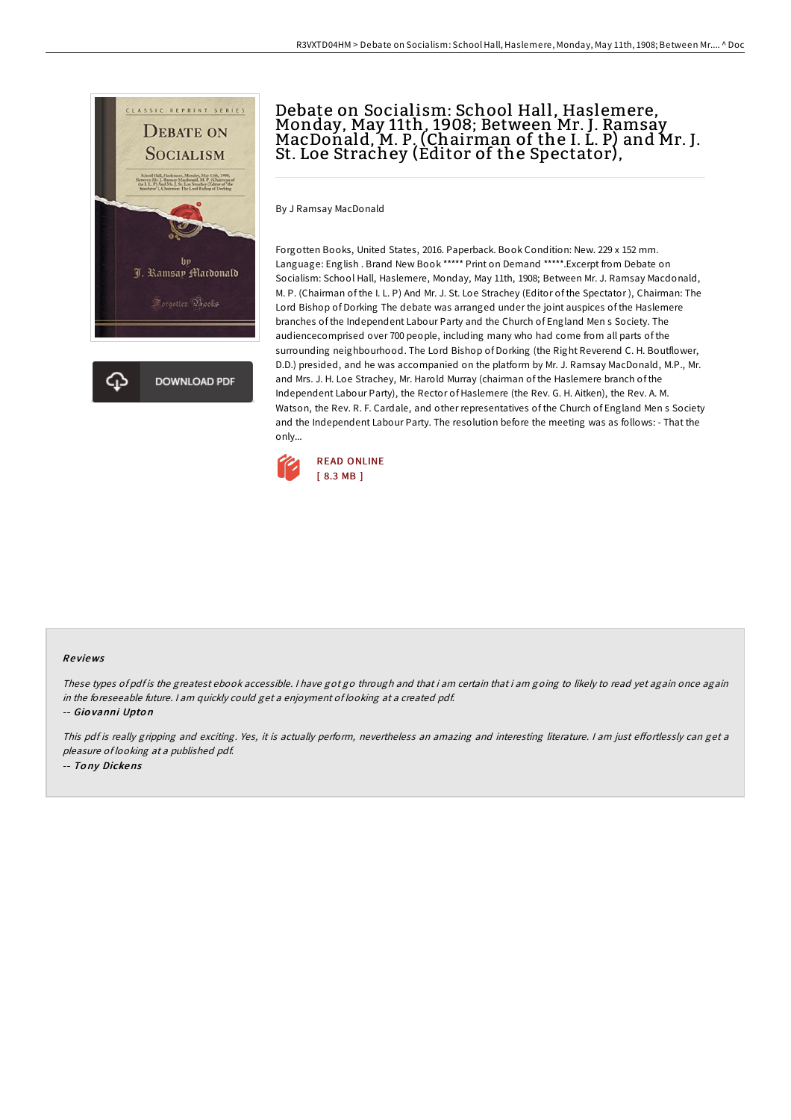

# Debate on Socialism: School Hall, Haslemere,<br>Monday, May 11th, 1908; Between Mr. J. Ramsay<br>MacDonald, M. P. (Chairman of the I. L. P) and Mr. J. St. Loe Strachey (Editor of the Spectator),

By J Ramsay MacDonald

Forgotten Books, United States, 2016. Paperback. Book Condition: New. 229 x 152 mm. Language: English . Brand New Book \*\*\*\*\* Print on Demand \*\*\*\*\*.Excerpt from Debate on Socialism: School Hall, Haslemere, Monday, May 11th, 1908; Between Mr. J. Ramsay Macdonald, M. P. (Chairman of the I. L. P) And Mr. J. St. Loe Strachey (Editor of the Spectator ), Chairman: The Lord Bishop of Dorking The debate was arranged under the joint auspices of the Haslemere branches of the Independent Labour Party and the Church of England Men s Society. The audiencecomprised over 700 people, including many who had come from all parts of the surrounding neighbourhood. The Lord Bishop of Dorking (the Right Reverend C. H. Boutflower, D.D.) presided, and he was accompanied on the platform by Mr. J. Ramsay MacDonald, M.P., Mr. and Mrs. J. H. Loe Strachey, Mr. Harold Murray (chairman of the Haslemere branch of the Independent Labour Party), the Rector of Haslemere (the Rev. G. H. Aitken), the Rev. A. M. Watson, the Rev. R. F. Cardale, and other representatives of the Church of England Men s Society and the Independent Labour Party. The resolution before the meeting was as follows: - That the only...



#### Re views

These types of pdf is the greatest ebook accessible. I have got go through and that i am certain that i am going to likely to read yet again once again in the foreseeable future. <sup>I</sup> am quickly could get <sup>a</sup> enjoyment of looking at <sup>a</sup> created pdf.

-- Gio vanni Upto <sup>n</sup>

This pdf is really gripping and exciting. Yes, it is actually perform, nevertheless an amazing and interesting literature. I am just effortlessly can get a pleasure of looking at <sup>a</sup> published pdf. -- To ny Dickens